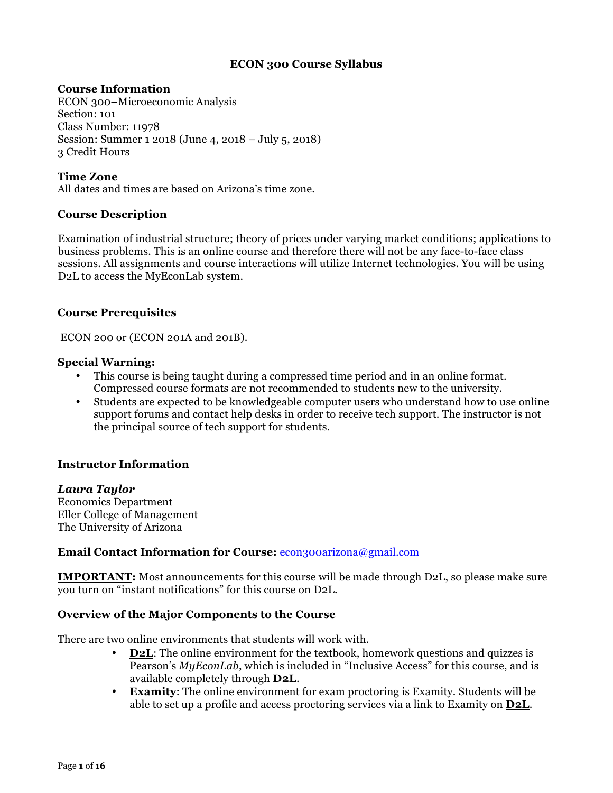## **ECON 300 Course Syllabus**

#### **Course Information**

ECON 300–Microeconomic Analysis Section: 101 Class Number: 11978 Session: Summer 1 2018 (June 4, 2018 – July 5, 2018) 3 Credit Hours

**Time Zone** All dates and times are based on Arizona's time zone.

#### **Course Description**

Examination of industrial structure; theory of prices under varying market conditions; applications to business problems. This is an online course and therefore there will not be any face-to-face class sessions. All assignments and course interactions will utilize Internet technologies. You will be using D2L to access the MyEconLab system.

#### **Course Prerequisites**

ECON 200 or (ECON 201A and 201B).

#### **Special Warning:**

- This course is being taught during a compressed time period and in an online format. Compressed course formats are not recommended to students new to the university.
- Students are expected to be knowledgeable computer users who understand how to use online support forums and contact help desks in order to receive tech support. The instructor is not the principal source of tech support for students.

## **Instructor Information**

## *Laura Taylor*

Economics Department Eller College of Management The University of Arizona

## **Email Contact Information for Course:** econ300arizona@gmail.com

**IMPORTANT:** Most announcements for this course will be made through D2L, so please make sure you turn on "instant notifications" for this course on D2L.

## **Overview of the Major Components to the Course**

There are two online environments that students will work with.

- **D2L:** The online environment for the textbook, homework questions and quizzes is Pearson's *MyEconLab*, which is included in "Inclusive Access" for this course, and is available completely through **D2L**.
- **Examity**: The online environment for exam proctoring is Examity. Students will be able to set up a profile and access proctoring services via a link to Examity on **D2L**.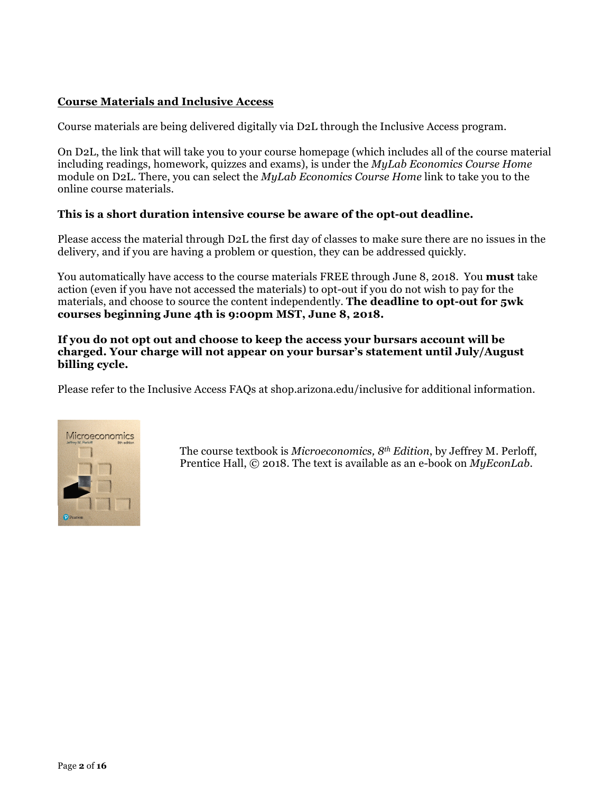# **Course Materials and Inclusive Access**

Course materials are being delivered digitally via D2L through the Inclusive Access program.

On D2L, the link that will take you to your course homepage (which includes all of the course material including readings, homework, quizzes and exams), is under the *MyLab Economics Course Home* module on D2L. There, you can select the *MyLab Economics Course Home* link to take you to the online course materials.

## **This is a short duration intensive course be aware of the opt-out deadline.**

Please access the material through D2L the first day of classes to make sure there are no issues in the delivery, and if you are having a problem or question, they can be addressed quickly.

You automatically have access to the course materials FREE through June 8, 2018. You **must** take action (even if you have not accessed the materials) to opt-out if you do not wish to pay for the materials, and choose to source the content independently. **The deadline to opt-out for 5wk courses beginning June 4th is 9:00pm MST, June 8, 2018.**

**If you do not opt out and choose to keep the access your bursars account will be charged. Your charge will not appear on your bursar's statement until July/August billing cycle.**

Please refer to the Inclusive Access FAQs at shop.arizona.edu/inclusive for additional information.



The course textbook is *Microeconomics, 8th Edition*, by Jeffrey M. Perloff, Prentice Hall, © 2018. The text is available as an e-book on *MyEconLab*.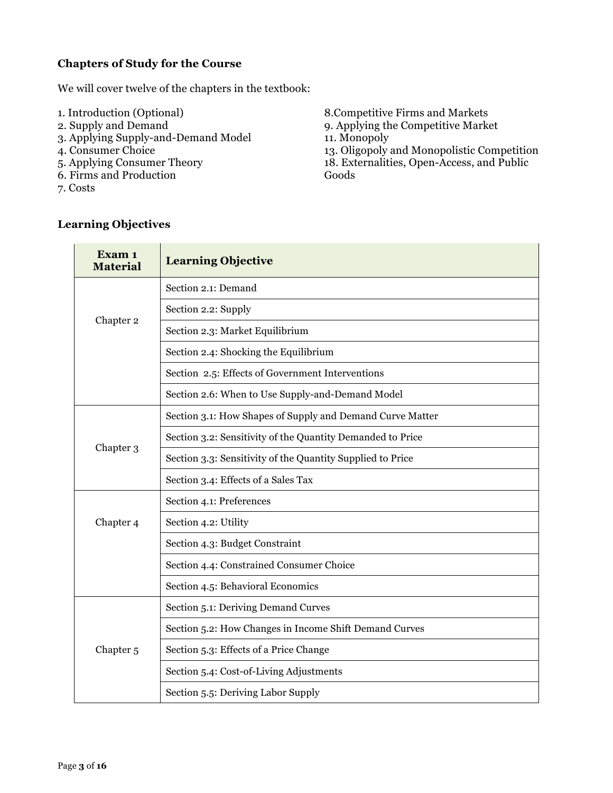# **Chapters of Study for the Course**

We will cover twelve of the chapters in the textbook:

- 1. Introduction (Optional)
- 2. Supply and Demand
- 3. Applying Supply-and-Demand Model
- 4. Consumer Choice
- 5. Applying Consumer Theory
- 6. Firms and Production
- 7. Costs

8.Competitive Firms and Markets 9. Applying the Competitive Market 11. Monopoly 13. Oligopoly and Monopolistic Competition 18. Externalities, Open-Access, and Public Goods

| Exam 1<br><b>Material</b> | <b>Learning Objective</b>                                  |
|---------------------------|------------------------------------------------------------|
|                           | Section 2.1: Demand                                        |
|                           | Section 2.2: Supply                                        |
| Chapter 2                 | Section 2.3: Market Equilibrium                            |
|                           | Section 2.4: Shocking the Equilibrium                      |
|                           | Section 2.5: Effects of Government Interventions           |
|                           | Section 2.6: When to Use Supply-and-Demand Model           |
|                           | Section 3.1: How Shapes of Supply and Demand Curve Matter  |
|                           | Section 3.2: Sensitivity of the Quantity Demanded to Price |
| Chapter 3                 | Section 3.3: Sensitivity of the Quantity Supplied to Price |
|                           | Section 3.4: Effects of a Sales Tax                        |
|                           | Section 4.1: Preferences                                   |
| Chapter 4                 | Section 4.2: Utility                                       |
|                           | Section 4.3: Budget Constraint                             |
|                           | Section 4.4: Constrained Consumer Choice                   |
|                           | Section 4.5: Behavioral Economics                          |
|                           | Section 5.1: Deriving Demand Curves                        |
| Chapter <sub>5</sub>      | Section 5.2: How Changes in Income Shift Demand Curves     |
|                           | Section 5.3: Effects of a Price Change                     |
|                           | Section 5.4: Cost-of-Living Adjustments                    |
|                           | Section 5.5: Deriving Labor Supply                         |

# **Learning Objectives**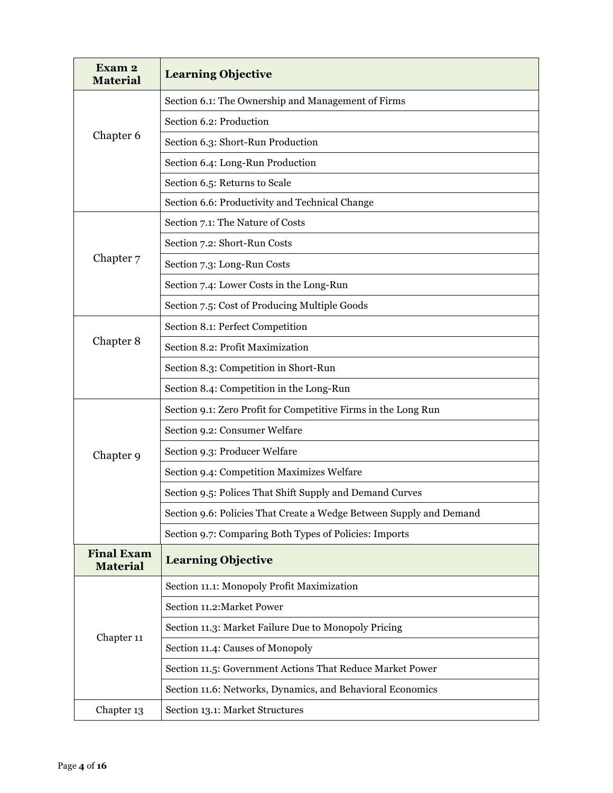| Exam <sub>2</sub><br><b>Material</b> | <b>Learning Objective</b>                                           |
|--------------------------------------|---------------------------------------------------------------------|
|                                      | Section 6.1: The Ownership and Management of Firms                  |
|                                      | Section 6.2: Production                                             |
| Chapter 6                            | Section 6.3: Short-Run Production                                   |
|                                      | Section 6.4: Long-Run Production                                    |
|                                      | Section 6.5: Returns to Scale                                       |
|                                      | Section 6.6: Productivity and Technical Change                      |
|                                      | Section 7.1: The Nature of Costs                                    |
|                                      | Section 7.2: Short-Run Costs                                        |
| Chapter 7                            | Section 7.3: Long-Run Costs                                         |
|                                      | Section 7.4: Lower Costs in the Long-Run                            |
|                                      | Section 7.5: Cost of Producing Multiple Goods                       |
|                                      | Section 8.1: Perfect Competition                                    |
| Chapter 8                            | Section 8.2: Profit Maximization                                    |
|                                      | Section 8.3: Competition in Short-Run                               |
|                                      | Section 8.4: Competition in the Long-Run                            |
|                                      | Section 9.1: Zero Profit for Competitive Firms in the Long Run      |
|                                      | Section 9.2: Consumer Welfare                                       |
| Chapter 9                            | Section 9.3: Producer Welfare                                       |
|                                      | Section 9.4: Competition Maximizes Welfare                          |
|                                      | Section 9.5: Polices That Shift Supply and Demand Curves            |
|                                      | Section 9.6: Policies That Create a Wedge Between Supply and Demand |
|                                      | Section 9.7: Comparing Both Types of Policies: Imports              |
| <b>Final Exam</b><br><b>Material</b> | <b>Learning Objective</b>                                           |
|                                      | Section 11.1: Monopoly Profit Maximization                          |
| Chapter 11                           | Section 11.2: Market Power                                          |
|                                      | Section 11.3: Market Failure Due to Monopoly Pricing                |
|                                      | Section 11.4: Causes of Monopoly                                    |
|                                      | Section 11.5: Government Actions That Reduce Market Power           |
|                                      | Section 11.6: Networks, Dynamics, and Behavioral Economics          |
| Chapter 13                           | Section 13.1: Market Structures                                     |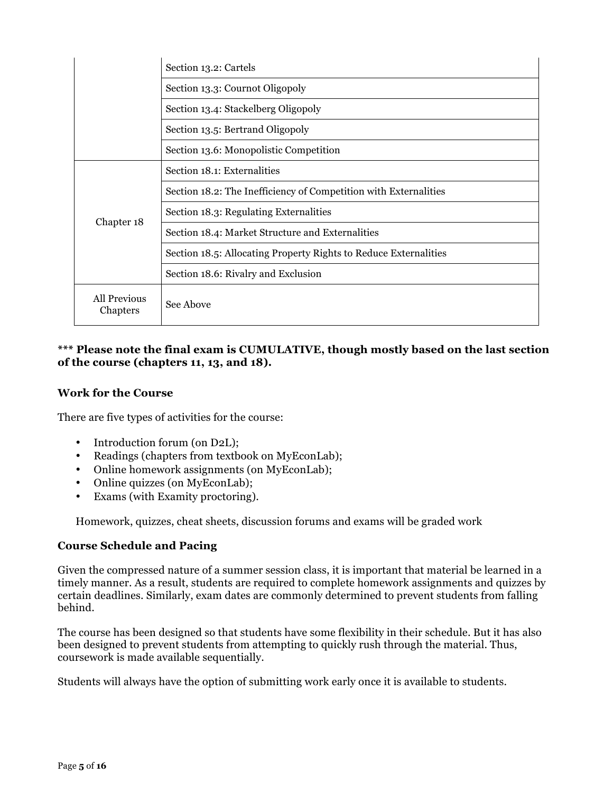|                          | Section 13.2: Cartels                                            |  |
|--------------------------|------------------------------------------------------------------|--|
|                          | Section 13.3: Cournot Oligopoly                                  |  |
|                          | Section 13.4: Stackelberg Oligopoly                              |  |
|                          | Section 13.5: Bertrand Oligopoly                                 |  |
|                          | Section 13.6: Monopolistic Competition                           |  |
| Chapter 18               | Section 18.1: Externalities                                      |  |
|                          | Section 18.2: The Inefficiency of Competition with Externalities |  |
|                          | Section 18.3: Regulating Externalities                           |  |
|                          | Section 18.4: Market Structure and Externalities                 |  |
|                          | Section 18.5: Allocating Property Rights to Reduce Externalities |  |
|                          | Section 18.6: Rivalry and Exclusion                              |  |
| All Previous<br>Chapters | See Above                                                        |  |

## **\*\*\* Please note the final exam is CUMULATIVE, though mostly based on the last section of the course (chapters 11, 13, and 18).**

## **Work for the Course**

There are five types of activities for the course:

- Introduction forum (on D2L);
- Readings (chapters from textbook on MyEconLab);
- Online homework assignments (on MyEconLab);
- Online quizzes (on MyEconLab);
- Exams (with Examity proctoring).

Homework, quizzes, cheat sheets, discussion forums and exams will be graded work

## **Course Schedule and Pacing**

Given the compressed nature of a summer session class, it is important that material be learned in a timely manner. As a result, students are required to complete homework assignments and quizzes by certain deadlines. Similarly, exam dates are commonly determined to prevent students from falling behind.

The course has been designed so that students have some flexibility in their schedule. But it has also been designed to prevent students from attempting to quickly rush through the material. Thus, coursework is made available sequentially.

Students will always have the option of submitting work early once it is available to students.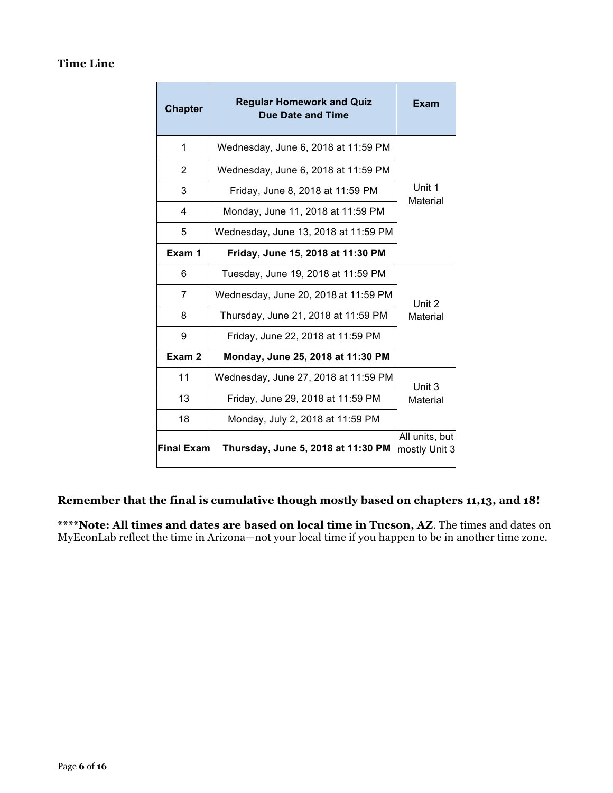# **Time Line**

| <b>Chapter</b>    | <b>Regular Homework and Quiz</b><br><b>Due Date and Time</b> | Exam                            |
|-------------------|--------------------------------------------------------------|---------------------------------|
| 1                 | Wednesday, June 6, 2018 at 11:59 PM                          |                                 |
| $\overline{2}$    | Wednesday, June 6, 2018 at 11:59 PM                          |                                 |
| 3                 | Friday, June 8, 2018 at 11:59 PM                             | Unit 1                          |
| 4                 | Monday, June 11, 2018 at 11:59 PM                            | Material                        |
| 5                 | Wednesday, June 13, 2018 at 11:59 PM                         |                                 |
| Exam 1            | Friday, June 15, 2018 at 11:30 PM                            |                                 |
| 6                 | Tuesday, June 19, 2018 at 11:59 PM                           |                                 |
| 7                 | Wednesday, June 20, 2018 at 11:59 PM                         | Unit 2                          |
| 8                 | Thursday, June 21, 2018 at 11:59 PM                          | Material                        |
| 9                 | Friday, June 22, 2018 at 11:59 PM                            |                                 |
| Exam <sub>2</sub> | Monday, June 25, 2018 at 11:30 PM                            |                                 |
| 11                | Wednesday, June 27, 2018 at 11:59 PM                         | Unit 3                          |
| 13                | Friday, June 29, 2018 at 11:59 PM                            | Material                        |
| 18                | Monday, July 2, 2018 at 11:59 PM                             |                                 |
| lFinal Examl      | Thursday, June 5, 2018 at 11:30 PM                           | All units, but<br>mostly Unit 3 |

# **Remember that the final is cumulative though mostly based on chapters 11,13, and 18!**

**\*\*\*\*Note: All times and dates are based on local time in Tucson, AZ**. The times and dates on MyEconLab reflect the time in Arizona—not your local time if you happen to be in another time zone.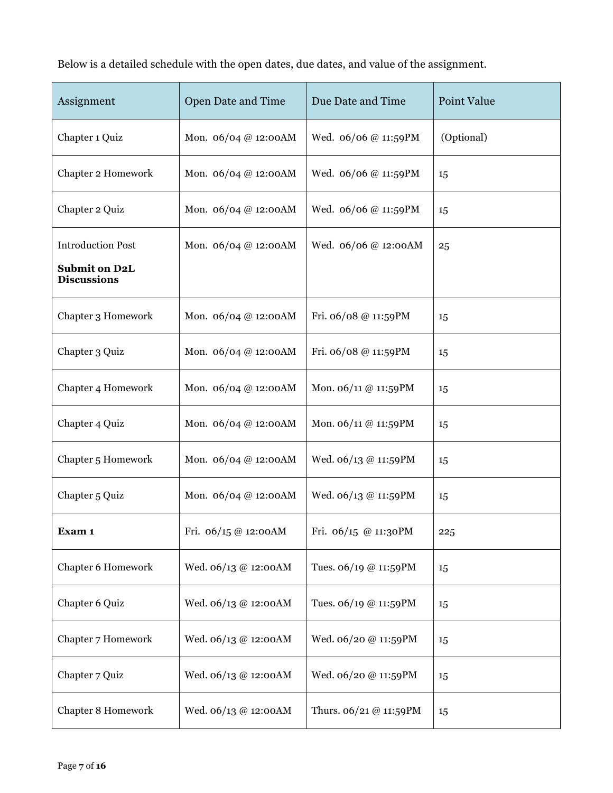Below is a detailed schedule with the open dates, due dates, and value of the assignment.

| Assignment                                                             | Open Date and Time   | Due Date and Time      | Point Value |
|------------------------------------------------------------------------|----------------------|------------------------|-------------|
| Chapter 1 Quiz                                                         | Mon. 06/04 @ 12:00AM | Wed. 06/06 @ 11:59PM   | (Optional)  |
| Chapter 2 Homework                                                     | Mon. 06/04 @ 12:00AM | Wed. 06/06 @ 11:59PM   | 15          |
| Chapter 2 Quiz                                                         | Mon. 06/04 @ 12:00AM | Wed. 06/06 @ 11:59PM   | 15          |
| <b>Introduction Post</b><br><b>Submit on D2L</b><br><b>Discussions</b> | Mon. 06/04 @ 12:00AM | Wed. 06/06 @ 12:00AM   | 25          |
| Chapter 3 Homework                                                     | Mon. 06/04 @ 12:00AM | Fri. 06/08 @ 11:59PM   | 15          |
| Chapter 3 Quiz                                                         | Mon. 06/04 @ 12:00AM | Fri. 06/08 @ 11:59PM   | 15          |
| Chapter 4 Homework                                                     | Mon. 06/04 @ 12:00AM | Mon. 06/11 @ 11:59PM   | 15          |
| Chapter 4 Quiz                                                         | Mon. 06/04 @ 12:00AM | Mon. 06/11 @ 11:59PM   | 15          |
| Chapter 5 Homework                                                     | Mon. 06/04 @ 12:00AM | Wed. 06/13 @ 11:59PM   | 15          |
| Chapter 5 Quiz                                                         | Mon. 06/04 @ 12:00AM | Wed. 06/13 @ 11:59PM   | 15          |
| Exam 1                                                                 | Fri. 06/15 @ 12:00AM | Fri. 06/15 @ 11:30PM   | 225         |
| Chapter 6 Homework                                                     | Wed. 06/13 @ 12:00AM | Tues. 06/19 @ 11:59PM  | 15          |
| Chapter 6 Quiz                                                         | Wed. 06/13 @ 12:00AM | Tues. 06/19 @ 11:59PM  | 15          |
| Chapter 7 Homework                                                     | Wed. 06/13 @ 12:00AM | Wed. 06/20 @ 11:59PM   | 15          |
| Chapter 7 Quiz                                                         | Wed. 06/13 @ 12:00AM | Wed. 06/20 @ 11:59PM   | 15          |
| Chapter 8 Homework                                                     | Wed. 06/13 @ 12:00AM | Thurs. 06/21 @ 11:59PM | 15          |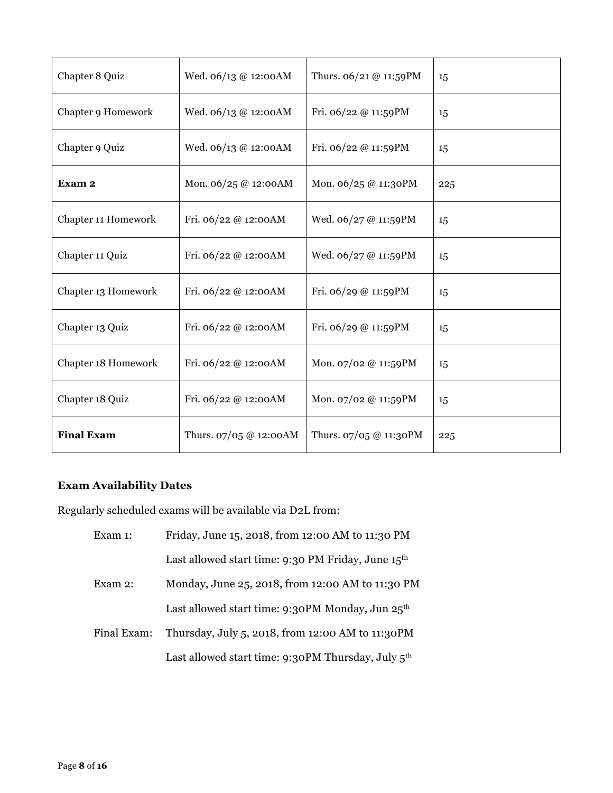| Chapter 8 Quiz      | Wed. 06/13 @ 12:00AM   | Thurs. 06/21 @ 11:59PM  | 15  |
|---------------------|------------------------|-------------------------|-----|
| Chapter 9 Homework  | Wed. 06/13 @ 12:00AM   | Fri. 06/22 @ 11:59PM    | 15  |
| Chapter 9 Quiz      | Wed. 06/13 @ 12:00AM   | Fri. 06/22 @ 11:59PM    | 15  |
| Exam 2              | Mon. 06/25 @ 12:00AM   | Mon. 06/25 @ 11:30PM    | 225 |
| Chapter 11 Homework | Fri. 06/22 @ 12:00AM   | Wed. $06/27 @ 11:59$ PM | 15  |
| Chapter 11 Quiz     | Fri. 06/22 @ 12:00AM   | Wed. 06/27 @ 11:59PM    | 15  |
| Chapter 13 Homework | Fri. 06/22 @ 12:00AM   | Fri. $06/29$ @ 11:59PM  | 15  |
| Chapter 13 Quiz     | Fri. 06/22 @ 12:00AM   | Fri. 06/29 @ 11:59PM    | 15  |
| Chapter 18 Homework | Fri. 06/22 @ 12:00AM   | Mon. 07/02 @ 11:59PM    | 15  |
| Chapter 18 Quiz     | Fri. 06/22 @ 12:00AM   | Mon. 07/02 @ 11:59PM    | 15  |
| <b>Final Exam</b>   | Thurs. 07/05 @ 12:00AM | Thurs. 07/05 @ 11:30PM  | 225 |

# **Exam Availability Dates**

Regularly scheduled exams will be available via D2L from:

| Exam 1:     | Friday, June 15, 2018, from 12:00 AM to 11:30 PM               |
|-------------|----------------------------------------------------------------|
|             | Last allowed start time: 9:30 PM Friday, June 15th             |
| Exam 2:     | Monday, June 25, 2018, from 12:00 AM to 11:30 PM               |
|             | Last allowed start time: 9:30PM Monday, Jun 25 <sup>th</sup>   |
| Final Exam: | Thursday, July 5, 2018, from 12:00 AM to 11:30PM               |
|             | Last allowed start time: 9:30PM Thursday, July 5 <sup>th</sup> |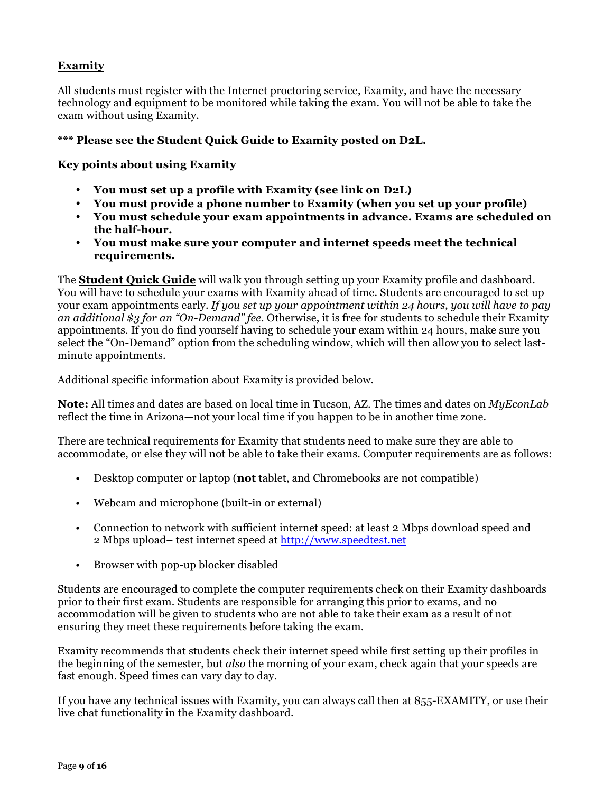# **Examity**

All students must register with the Internet proctoring service, Examity, and have the necessary technology and equipment to be monitored while taking the exam. You will not be able to take the exam without using Examity.

## **\*\*\* Please see the Student Quick Guide to Examity posted on D2L.**

## **Key points about using Examity**

- **You must set up a profile with Examity (see link on D2L)**
- **You must provide a phone number to Examity (when you set up your profile)**
- **You must schedule your exam appointments in advance. Exams are scheduled on the half-hour.**
- **You must make sure your computer and internet speeds meet the technical requirements.**

The **Student Quick Guide** will walk you through setting up your Examity profile and dashboard. You will have to schedule your exams with Examity ahead of time. Students are encouraged to set up your exam appointments early. *If you set up your appointment within 24 hours, you will have to pay an additional \$3 for an "On-Demand" fee*. Otherwise, it is free for students to schedule their Examity appointments. If you do find yourself having to schedule your exam within 24 hours, make sure you select the "On-Demand" option from the scheduling window, which will then allow you to select lastminute appointments.

Additional specific information about Examity is provided below.

**Note:** All times and dates are based on local time in Tucson, AZ. The times and dates on *MyEconLab* reflect the time in Arizona—not your local time if you happen to be in another time zone.

There are technical requirements for Examity that students need to make sure they are able to accommodate, or else they will not be able to take their exams. Computer requirements are as follows:

- Desktop computer or laptop (**not** tablet, and Chromebooks are not compatible)
- Webcam and microphone (built-in or external)
- Connection to network with sufficient internet speed: at least 2 Mbps download speed and 2 Mbps upload– test internet speed at http://www.speedtest.net
- Browser with pop-up blocker disabled

Students are encouraged to complete the computer requirements check on their Examity dashboards prior to their first exam. Students are responsible for arranging this prior to exams, and no accommodation will be given to students who are not able to take their exam as a result of not ensuring they meet these requirements before taking the exam.

Examity recommends that students check their internet speed while first setting up their profiles in the beginning of the semester, but *also* the morning of your exam, check again that your speeds are fast enough. Speed times can vary day to day.

If you have any technical issues with Examity, you can always call then at 855-EXAMITY, or use their live chat functionality in the Examity dashboard.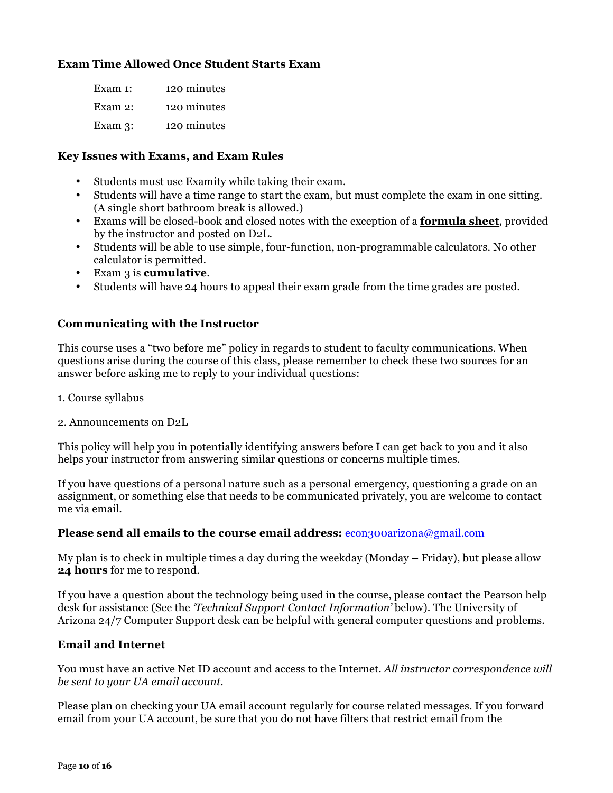# **Exam Time Allowed Once Student Starts Exam**

| Exam $1$ : | 120 minutes |
|------------|-------------|
| Exam 2:    | 120 minutes |
| Exam $3$ : | 120 minutes |

#### **Key Issues with Exams, and Exam Rules**

- Students must use Examity while taking their exam.
- Students will have a time range to start the exam, but must complete the exam in one sitting. (A single short bathroom break is allowed.)
- Exams will be closed-book and closed notes with the exception of a **formula sheet**, provided by the instructor and posted on D2L.
- Students will be able to use simple, four-function, non-programmable calculators. No other calculator is permitted.
- Exam 3 is **cumulative**.
- Students will have 24 hours to appeal their exam grade from the time grades are posted.

#### **Communicating with the Instructor**

This course uses a "two before me" policy in regards to student to faculty communications. When questions arise during the course of this class, please remember to check these two sources for an answer before asking me to reply to your individual questions:

- 1. Course syllabus
- 2. Announcements on D2L

This policy will help you in potentially identifying answers before I can get back to you and it also helps your instructor from answering similar questions or concerns multiple times.

If you have questions of a personal nature such as a personal emergency, questioning a grade on an assignment, or something else that needs to be communicated privately, you are welcome to contact me via email.

#### **Please send all emails to the course email address:** econ300arizona@gmail.com

My plan is to check in multiple times a day during the weekday (Monday – Friday), but please allow **24 hours** for me to respond.

If you have a question about the technology being used in the course, please contact the Pearson help desk for assistance (See the *'Technical Support Contact Information'* below). The University of Arizona 24/7 Computer Support desk can be helpful with general computer questions and problems.

#### **Email and Internet**

You must have an active Net ID account and access to the Internet. *All instructor correspondence will be sent to your UA email account.* 

Please plan on checking your UA email account regularly for course related messages. If you forward email from your UA account, be sure that you do not have filters that restrict email from the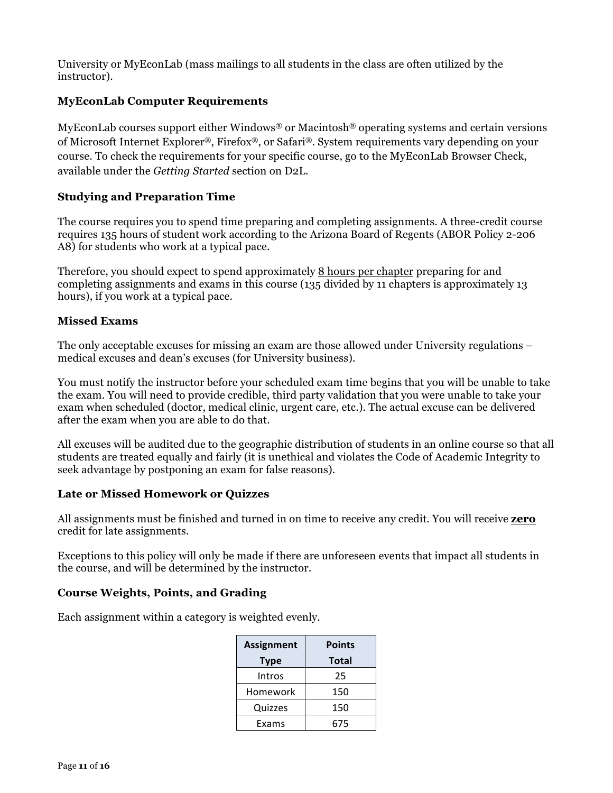University or MyEconLab (mass mailings to all students in the class are often utilized by the instructor).

# **MyEconLab Computer Requirements**

MyEconLab courses support either Windows® or Macintosh® operating systems and certain versions of Microsoft Internet Explorer®, Firefox®, or Safari®. System requirements vary depending on your course. To check the requirements for your specific course, go to the MyEconLab Browser Check, available under the *Getting Started* section on D2L.

## **Studying and Preparation Time**

The course requires you to spend time preparing and completing assignments. A three-credit course requires 135 hours of student work according to the Arizona Board of Regents (ABOR Policy 2-206 A8) for students who work at a typical pace.

Therefore, you should expect to spend approximately 8 hours per chapter preparing for and completing assignments and exams in this course (135 divided by 11 chapters is approximately 13 hours), if you work at a typical pace.

## **Missed Exams**

The only acceptable excuses for missing an exam are those allowed under University regulations – medical excuses and dean's excuses (for University business).

You must notify the instructor before your scheduled exam time begins that you will be unable to take the exam. You will need to provide credible, third party validation that you were unable to take your exam when scheduled (doctor, medical clinic, urgent care, etc.). The actual excuse can be delivered after the exam when you are able to do that.

All excuses will be audited due to the geographic distribution of students in an online course so that all students are treated equally and fairly (it is unethical and violates the Code of Academic Integrity to seek advantage by postponing an exam for false reasons).

## **Late or Missed Homework or Quizzes**

All assignments must be finished and turned in on time to receive any credit. You will receive **zero** credit for late assignments.

Exceptions to this policy will only be made if there are unforeseen events that impact all students in the course, and will be determined by the instructor.

## **Course Weights, Points, and Grading**

Each assignment within a category is weighted evenly.

| <b>Assignment</b> | <b>Points</b> |
|-------------------|---------------|
| <b>Type</b>       | Total         |
| Intros            | 25            |
| Homework          | 150           |
| Quizzes           | 150           |
| Exams             | 675           |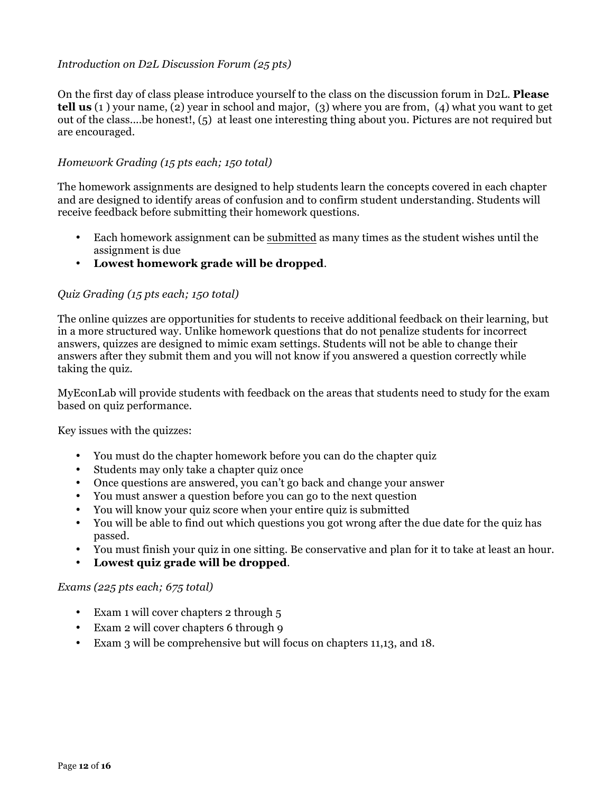## *Introduction on D2L Discussion Forum (25 pts)*

On the first day of class please introduce yourself to the class on the discussion forum in D2L. **Please tell us** (1 ) your name, (2) year in school and major, (3) where you are from, (4) what you want to get out of the class....be honest!, (5) at least one interesting thing about you. Pictures are not required but are encouraged.

#### *Homework Grading (15 pts each; 150 total)*

The homework assignments are designed to help students learn the concepts covered in each chapter and are designed to identify areas of confusion and to confirm student understanding. Students will receive feedback before submitting their homework questions.

- Each homework assignment can be submitted as many times as the student wishes until the assignment is due
- **Lowest homework grade will be dropped**.

#### *Quiz Grading (15 pts each; 150 total)*

The online quizzes are opportunities for students to receive additional feedback on their learning, but in a more structured way. Unlike homework questions that do not penalize students for incorrect answers, quizzes are designed to mimic exam settings. Students will not be able to change their answers after they submit them and you will not know if you answered a question correctly while taking the quiz.

MyEconLab will provide students with feedback on the areas that students need to study for the exam based on quiz performance.

Key issues with the quizzes:

- You must do the chapter homework before you can do the chapter quiz
- Students may only take a chapter quiz once
- Once questions are answered, you can't go back and change your answer
- You must answer a question before you can go to the next question
- You will know your quiz score when your entire quiz is submitted
- You will be able to find out which questions you got wrong after the due date for the quiz has passed.
- You must finish your quiz in one sitting. Be conservative and plan for it to take at least an hour.
- **Lowest quiz grade will be dropped**.

#### *Exams (225 pts each; 675 total)*

- Exam 1 will cover chapters 2 through 5
- Exam 2 will cover chapters 6 through 9
- Exam 3 will be comprehensive but will focus on chapters 11,13, and 18.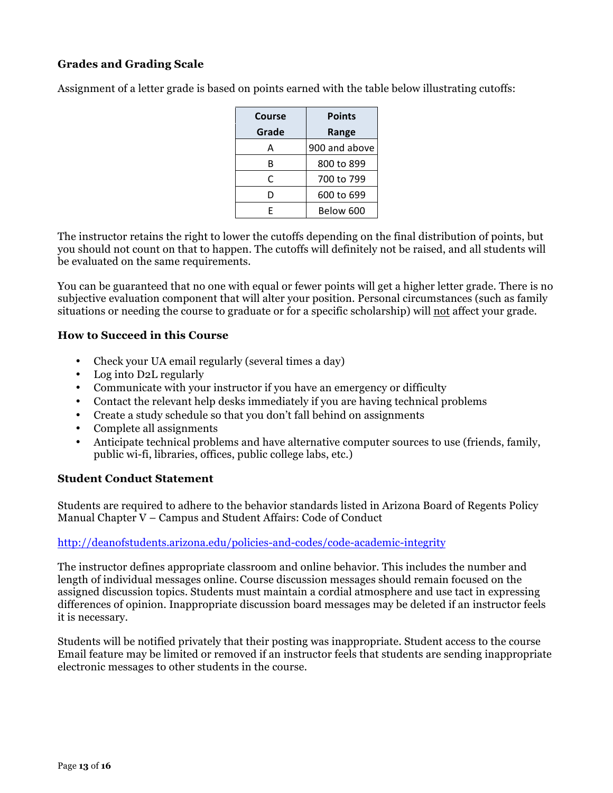# **Grades and Grading Scale**

Assignment of a letter grade is based on points earned with the table below illustrating cutoffs:

| Course | <b>Points</b> |
|--------|---------------|
| Grade  | Range         |
| А      | 900 and above |
| B      | 800 to 899    |
| C      | 700 to 799    |
| D      | 600 to 699    |
| F      | Below 600     |

The instructor retains the right to lower the cutoffs depending on the final distribution of points, but you should not count on that to happen. The cutoffs will definitely not be raised, and all students will be evaluated on the same requirements.

You can be guaranteed that no one with equal or fewer points will get a higher letter grade. There is no subjective evaluation component that will alter your position. Personal circumstances (such as family situations or needing the course to graduate or for a specific scholarship) will not affect your grade.

#### **How to Succeed in this Course**

- Check your UA email regularly (several times a day)
- Log into D2L regularly
- Communicate with your instructor if you have an emergency or difficulty
- Contact the relevant help desks immediately if you are having technical problems
- Create a study schedule so that you don't fall behind on assignments
- Complete all assignments
- Anticipate technical problems and have alternative computer sources to use (friends, family, public wi-fi, libraries, offices, public college labs, etc.)

#### **Student Conduct Statement**

Students are required to adhere to the behavior standards listed in Arizona Board of Regents Policy Manual Chapter V – Campus and Student Affairs: Code of Conduct

#### http://deanofstudents.arizona.edu/policies-and-codes/code-academic-integrity

The instructor defines appropriate classroom and online behavior. This includes the number and length of individual messages online. Course discussion messages should remain focused on the assigned discussion topics. Students must maintain a cordial atmosphere and use tact in expressing differences of opinion. Inappropriate discussion board messages may be deleted if an instructor feels it is necessary.

Students will be notified privately that their posting was inappropriate. Student access to the course Email feature may be limited or removed if an instructor feels that students are sending inappropriate electronic messages to other students in the course.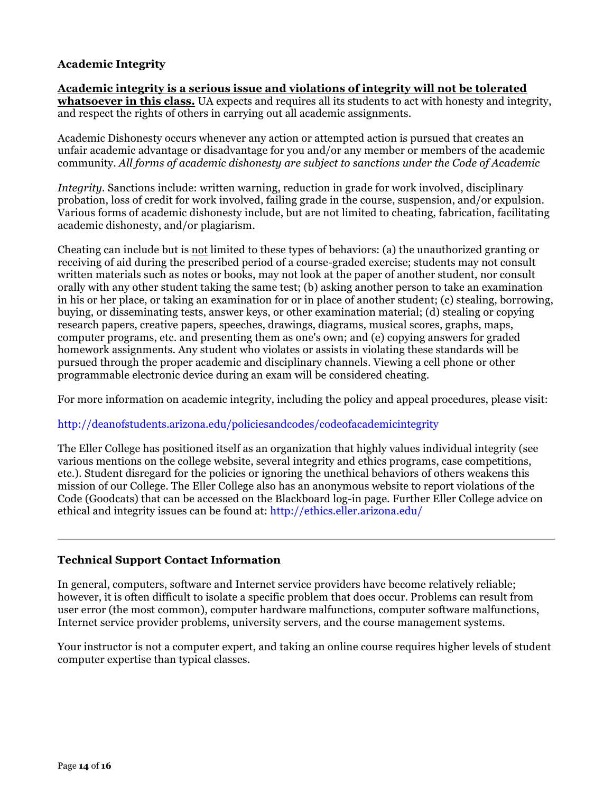# **Academic Integrity**

**Academic integrity is a serious issue and violations of integrity will not be tolerated whatsoever in this class.** UA expects and requires all its students to act with honesty and integrity, and respect the rights of others in carrying out all academic assignments.

Academic Dishonesty occurs whenever any action or attempted action is pursued that creates an unfair academic advantage or disadvantage for you and/or any member or members of the academic community. *All forms of academic dishonesty are subject to sanctions under the Code of Academic*

*Integrity.* Sanctions include: written warning, reduction in grade for work involved, disciplinary probation, loss of credit for work involved, failing grade in the course, suspension, and/or expulsion. Various forms of academic dishonesty include, but are not limited to cheating, fabrication, facilitating academic dishonesty, and/or plagiarism.

Cheating can include but is not limited to these types of behaviors: (a) the unauthorized granting or receiving of aid during the prescribed period of a course-graded exercise; students may not consult written materials such as notes or books, may not look at the paper of another student, nor consult orally with any other student taking the same test; (b) asking another person to take an examination in his or her place, or taking an examination for or in place of another student; (c) stealing, borrowing, buying, or disseminating tests, answer keys, or other examination material; (d) stealing or copying research papers, creative papers, speeches, drawings, diagrams, musical scores, graphs, maps, computer programs, etc. and presenting them as one's own; and (e) copying answers for graded homework assignments. Any student who violates or assists in violating these standards will be pursued through the proper academic and disciplinary channels. Viewing a cell phone or other programmable electronic device during an exam will be considered cheating.

For more information on academic integrity, including the policy and appeal procedures, please visit:

## http://deanofstudents.arizona.edu/policiesandcodes/codeofacademicintegrity

The Eller College has positioned itself as an organization that highly values individual integrity (see various mentions on the college website, several integrity and ethics programs, case competitions, etc.). Student disregard for the policies or ignoring the unethical behaviors of others weakens this mission of our College. The Eller College also has an anonymous website to report violations of the Code (Goodcats) that can be accessed on the Blackboard log-in page. Further Eller College advice on ethical and integrity issues can be found at: http://ethics.eller.arizona.edu/

## **Technical Support Contact Information**

In general, computers, software and Internet service providers have become relatively reliable; however, it is often difficult to isolate a specific problem that does occur. Problems can result from user error (the most common), computer hardware malfunctions, computer software malfunctions, Internet service provider problems, university servers, and the course management systems.

Your instructor is not a computer expert, and taking an online course requires higher levels of student computer expertise than typical classes.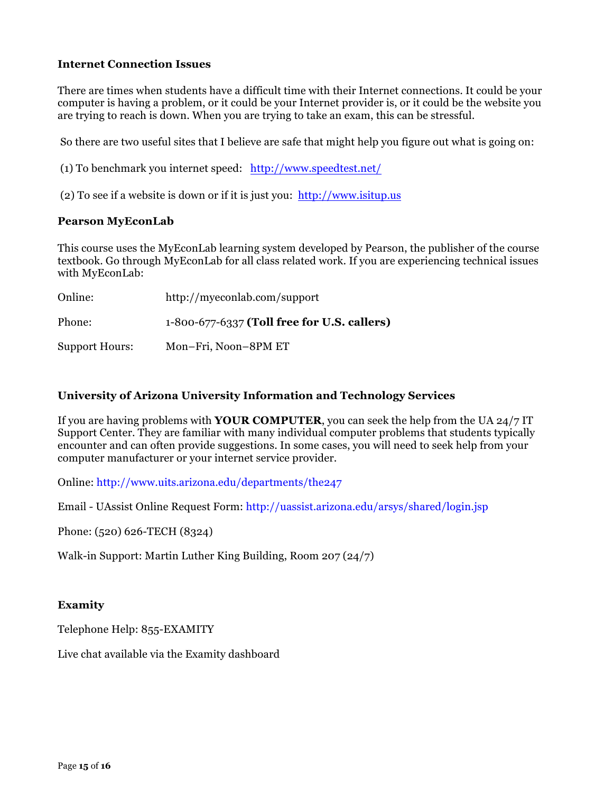#### **Internet Connection Issues**

There are times when students have a difficult time with their Internet connections. It could be your computer is having a problem, or it could be your Internet provider is, or it could be the website you are trying to reach is down. When you are trying to take an exam, this can be stressful.

So there are two useful sites that I believe are safe that might help you figure out what is going on:

(1) To benchmark you internet speed: http://www.speedtest.net/

(2) To see if a website is down or if it is just you: http://www.isitup.us

#### **Pearson MyEconLab**

This course uses the MyEconLab learning system developed by Pearson, the publisher of the course textbook. Go through MyEconLab for all class related work. If you are experiencing technical issues with MyEconLab:

| Online:        | http://myeconlab.com/support                |
|----------------|---------------------------------------------|
| Phone:         | 1-800-677-6337 (Toll free for U.S. callers) |
| Support Hours: | Mon-Fri, Noon-8PM ET                        |

#### **University of Arizona University Information and Technology Services**

If you are having problems with **YOUR COMPUTER**, you can seek the help from the UA 24/7 IT Support Center. They are familiar with many individual computer problems that students typically encounter and can often provide suggestions. In some cases, you will need to seek help from your computer manufacturer or your internet service provider.

Online: http://www.uits.arizona.edu/departments/the247

Email - UAssist Online Request Form: http://uassist.arizona.edu/arsys/shared/login.jsp

Phone: (520) 626-TECH (8324)

Walk-in Support: Martin Luther King Building, Room 207 (24/7)

## **Examity**

Telephone Help: 855-EXAMITY

Live chat available via the Examity dashboard